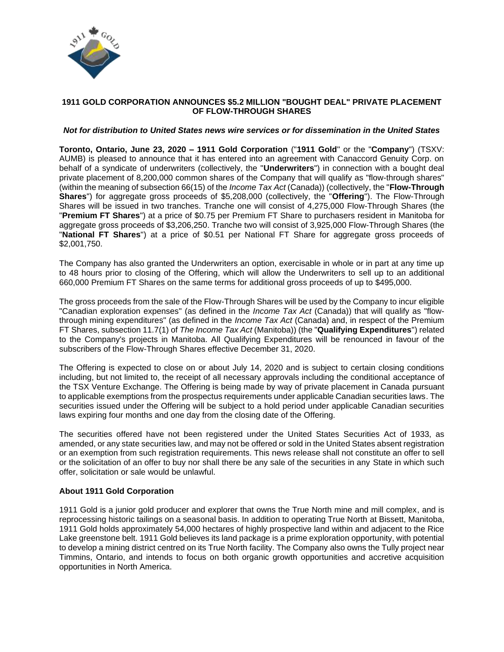

# **1911 GOLD CORPORATION ANNOUNCES \$5.2 MILLION "BOUGHT DEAL" PRIVATE PLACEMENT OF FLOW-THROUGH SHARES**

### *Not for distribution to United States news wire services or for dissemination in the United States*

**Toronto, Ontario, June 23, 2020 – 1911 Gold Corporation** ("**1911 Gold**" or the "**Company**") (TSXV: AUMB) is pleased to announce that it has entered into an agreement with Canaccord Genuity Corp. on behalf of a syndicate of underwriters (collectively, the "**Underwriters**") in connection with a bought deal private placement of 8,200,000 common shares of the Company that will qualify as "flow-through shares" (within the meaning of subsection 66(15) of the *Income Tax Act* (Canada)) (collectively, the "**Flow-Through Shares**") for aggregate gross proceeds of \$5,208,000 (collectively, the "**Offering**"). The Flow-Through Shares will be issued in two tranches. Tranche one will consist of 4,275,000 Flow-Through Shares (the "**Premium FT Shares**") at a price of \$0.75 per Premium FT Share to purchasers resident in Manitoba for aggregate gross proceeds of \$3,206,250. Tranche two will consist of 3,925,000 Flow-Through Shares (the "**National FT Shares**") at a price of \$0.51 per National FT Share for aggregate gross proceeds of \$2,001,750.

The Company has also granted the Underwriters an option, exercisable in whole or in part at any time up to 48 hours prior to closing of the Offering, which will allow the Underwriters to sell up to an additional 660,000 Premium FT Shares on the same terms for additional gross proceeds of up to \$495,000.

The gross proceeds from the sale of the Flow-Through Shares will be used by the Company to incur eligible "Canadian exploration expenses" (as defined in the *Income Tax Act* (Canada)) that will qualify as "flowthrough mining expenditures" (as defined in the *Income Tax Act* (Canada) and, in respect of the Premium FT Shares, subsection 11.7(1) of *The Income Tax Act* (Manitoba)) (the "**Qualifying Expenditures**") related to the Company's projects in Manitoba. All Qualifying Expenditures will be renounced in favour of the subscribers of the Flow-Through Shares effective December 31, 2020.

The Offering is expected to close on or about July 14, 2020 and is subject to certain closing conditions including, but not limited to, the receipt of all necessary approvals including the conditional acceptance of the TSX Venture Exchange. The Offering is being made by way of private placement in Canada pursuant to applicable exemptions from the prospectus requirements under applicable Canadian securities laws. The securities issued under the Offering will be subject to a hold period under applicable Canadian securities laws expiring four months and one day from the closing date of the Offering.

The securities offered have not been registered under the United States Securities Act of 1933, as amended, or any state securities law, and may not be offered or sold in the United States absent registration or an exemption from such registration requirements. This news release shall not constitute an offer to sell or the solicitation of an offer to buy nor shall there be any sale of the securities in any State in which such offer, solicitation or sale would be unlawful.

## **About 1911 Gold Corporation**

1911 Gold is a junior gold producer and explorer that owns the True North mine and mill complex, and is reprocessing historic tailings on a seasonal basis. In addition to operating True North at Bissett, Manitoba, 1911 Gold holds approximately 54,000 hectares of highly prospective land within and adjacent to the Rice Lake greenstone belt. 1911 Gold believes its land package is a prime exploration opportunity, with potential to develop a mining district centred on its True North facility. The Company also owns the Tully project near Timmins, Ontario, and intends to focus on both organic growth opportunities and accretive acquisition opportunities in North America.